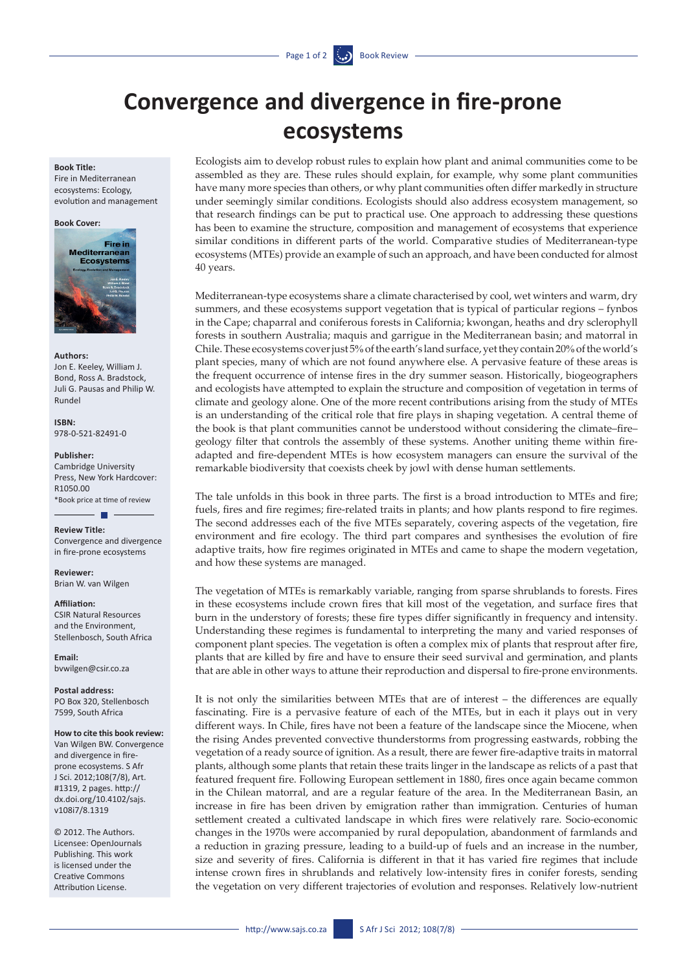# **Convergence and divergence in fire-prone ecosystems**

#### **Book Title:**

Fire in Mediterranean ecosystems: Ecology, evolution and management

#### **Book Cover:**



#### **Authors:**

Jon E. Keeley, William J. Bond, Ross A. Bradstock, Juli G. Pausas and Philip W. Rundel

**ISBN:** 978-0-521-82491-0

#### **Publisher:**

Cambridge University Press, New York Hardcover: R1050.00 \*Book price at time of review

#### **Review Title:**

Convergence and divergence in fire-prone ecosystems

**Reviewer:** Brian W. van Wilgen

#### **Affiliation:**

CSIR Natural Resources and the Environment, Stellenbosch, South Africa

**Email:** [bvwilgen@csir.co.za](mailto:BvWilgen@csir.co.za)

**Postal address:**  PO Box 320, Stellenbosch 7599, South Africa

### **How to cite this book review:** Van Wilgen BW. Convergence

and divergence in fireprone ecosystems. S Afr J Sci. 2012;108(7/8), Art. #1319, 2 pages. http:// dx.doi.org/10.4102/sajs. v108i7/8.1319

© 2012. The Authors. Licensee: OpenJournals Publishing. This work is licensed under the Creative Commons Attribution License.

Ecologists aim to develop robust rules to explain how plant and animal communities come to be assembled as they are. These rules should explain, for example, why some plant communities have many more species than others, or why plant communities often differ markedly in structure under seemingly similar conditions. Ecologists should also address ecosystem management, so that research findings can be put to practical use. One approach to addressing these questions has been to examine the structure, composition and management of ecosystems that experience similar conditions in different parts of the world. Comparative studies of Mediterranean-type ecosystems (MTEs) provide an example of such an approach, and have been conducted for almost 40 years.

Mediterranean-type ecosystems share a climate characterised by cool, wet winters and warm, dry summers, and these ecosystems support vegetation that is typical of particular regions – fynbos in the Cape; chaparral and coniferous forests in California; kwongan, heaths and dry sclerophyll forests in southern Australia; maquis and garrigue in the Mediterranean basin; and matorral in Chile. These ecosystems cover just 5% of the earth's land surface, yet they contain 20% of the world's plant species, many of which are not found anywhere else. A pervasive feature of these areas is the frequent occurrence of intense fires in the dry summer season. Historically, biogeographers and ecologists have attempted to explain the structure and composition of vegetation in terms of climate and geology alone. One of the more recent contributions arising from the study of MTEs is an understanding of the critical role that fire plays in shaping vegetation. A central theme of the book is that plant communities cannot be understood without considering the climate–fire– geology filter that controls the assembly of these systems. Another uniting theme within fireadapted and fire-dependent MTEs is how ecosystem managers can ensure the survival of the remarkable biodiversity that coexists cheek by jowl with dense human settlements.

The tale unfolds in this book in three parts. The first is a broad introduction to MTEs and fire; fuels, fires and fire regimes; fire-related traits in plants; and how plants respond to fire regimes. The second addresses each of the five MTEs separately, covering aspects of the vegetation, fire environment and fire ecology. The third part compares and synthesises the evolution of fire adaptive traits, how fire regimes originated in MTEs and came to shape the modern vegetation, and how these systems are managed.

The vegetation of MTEs is remarkably variable, ranging from sparse shrublands to forests. Fires in these ecosystems include crown fires that kill most of the vegetation, and surface fires that burn in the understory of forests; these fire types differ significantly in frequency and intensity. Understanding these regimes is fundamental to interpreting the many and varied responses of component plant species. The vegetation is often a complex mix of plants that resprout after fire, plants that are killed by fire and have to ensure their seed survival and germination, and plants that are able in other ways to attune their reproduction and dispersal to fire-prone environments.

It is not only the similarities between MTEs that are of interest – the differences are equally fascinating. Fire is a pervasive feature of each of the MTEs, but in each it plays out in very different ways. In Chile, fires have not been a feature of the landscape since the Miocene, when the rising Andes prevented convective thunderstorms from progressing eastwards, robbing the vegetation of a ready source of ignition. As a result, there are fewer fire-adaptive traits in matorral plants, although some plants that retain these traits linger in the landscape as relicts of a past that featured frequent fire. Following European settlement in 1880, fires once again became common in the Chilean matorral, and are a regular feature of the area. In the Mediterranean Basin, an increase in fire has been driven by emigration rather than immigration. Centuries of human settlement created a cultivated landscape in which fires were relatively rare. Socio-economic changes in the 1970s were accompanied by rural depopulation, abandonment of farmlands and a reduction in grazing pressure, leading to a build-up of fuels and an increase in the number, size and severity of fires. California is different in that it has varied fire regimes that include intense crown fires in shrublands and relatively low-intensity fires in conifer forests, sending the vegetation on very different trajectories of evolution and responses. Relatively low-nutrient